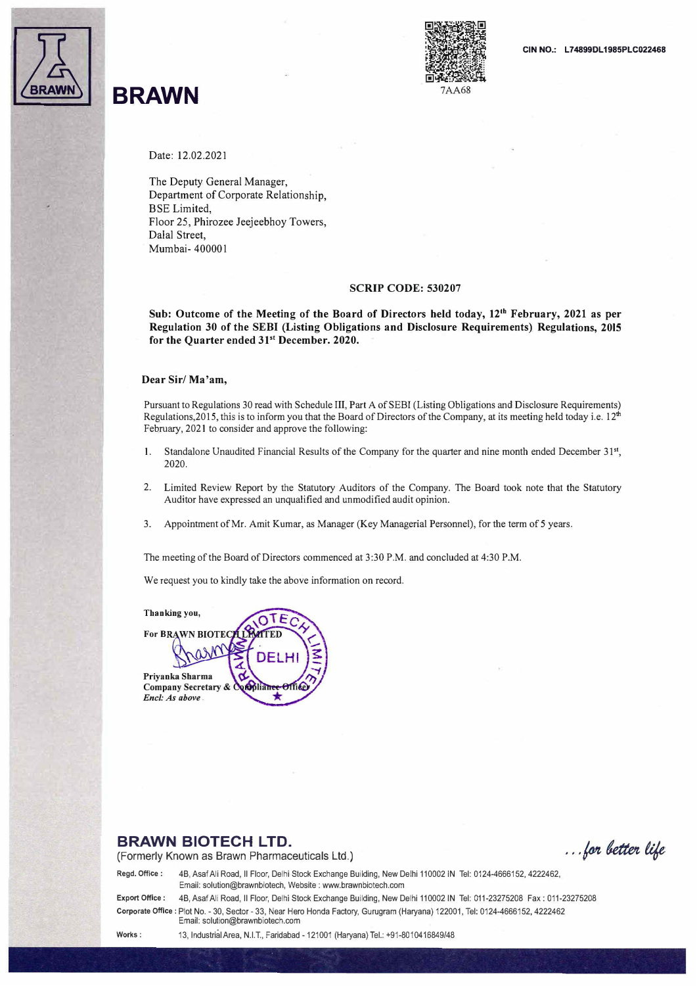

## 11 **BRAWN**



Date: 12.02.2021

The Deputy General Manager, Department of Corporate Relationship, **BSE** Limited, Floor 25, Phirozee Jeejeebhoy Towers, Dalal Street, Mumbai- 400001

#### **SCRIP CODE: 530207**

**Sub: Outcome of the Meeting of the Board of Directors held today, 12th February, 2021 as per Regulation 30 of the SEBI (Listing Obligations and Disclosure Requirements) Regulations, 2015**  for the Quarter ended 31<sup>st</sup> December. 2020.

#### **Dear Sir/ Ma 'am,**

Pursuant to Regulations 30 read with Schedule III, Part A of SEBI (Listing Obligations and Disclosure Requirements) Regulations, 2015, this is to inform you that the Board of Directors of the Company, at its meeting held today i.e.  $12<sup>th</sup>$ February, 2021 to consider and approve the following:

- 1. Standalone Unaudited Financial Results of the Company for the quarter and nine month ended December 31<sup>st</sup>, 2020.
- 2. Limited Review Report by the Statutory Auditors of the Company. The Board took note that the Statutory Auditor have expressed an unqualified and unmodified audit opinion.
- 3. Appointment of Mr. Amit Kumar, as Manager (Key Managerial Personnel), for the term of 5 years.

The meeting of the Board of Directors commenced at 3:30 P.M. and concluded at 4:30 P.M.

We request you to kindly take the above information on record.

**Thanking you,**  ΤF **For BRAWN BIOTI** Priyanka Sharma **Company Secretary &** bolianee Encl: As above

### **BRAWN BIOTECH LTD.**

(Formerly Known as Brawn Pharmaceuticals Ltd.)

... for better life

Regd. Office: 4B, Asaf Ali Road, II Floor, Delhi Stock Exchange Building, New Delhi 110002 IN Tel: 0124-4666152, 4222462, Email: solution@brawnbiotech, Website : www.brawnbiotech.com

Export Office: 4B, Asaf Ali Road, II Floor, Delhi Stock Exchange Building, New Delhi 110002 IN Tel: 011-23275208 Fax: 011-23275208 Corporate Office: Plot No. - 30, Sector - 33, Near Hero Honda Factory, Gurugram (Haryana) 122001, Tel: 0124-4666152, 4222462 Email: solution@brawnbiotech.com

**Works:** 13, Industrial Area, N.I.T., Faridabad -121001 (Haryana) Tel.: +91-8010416849/48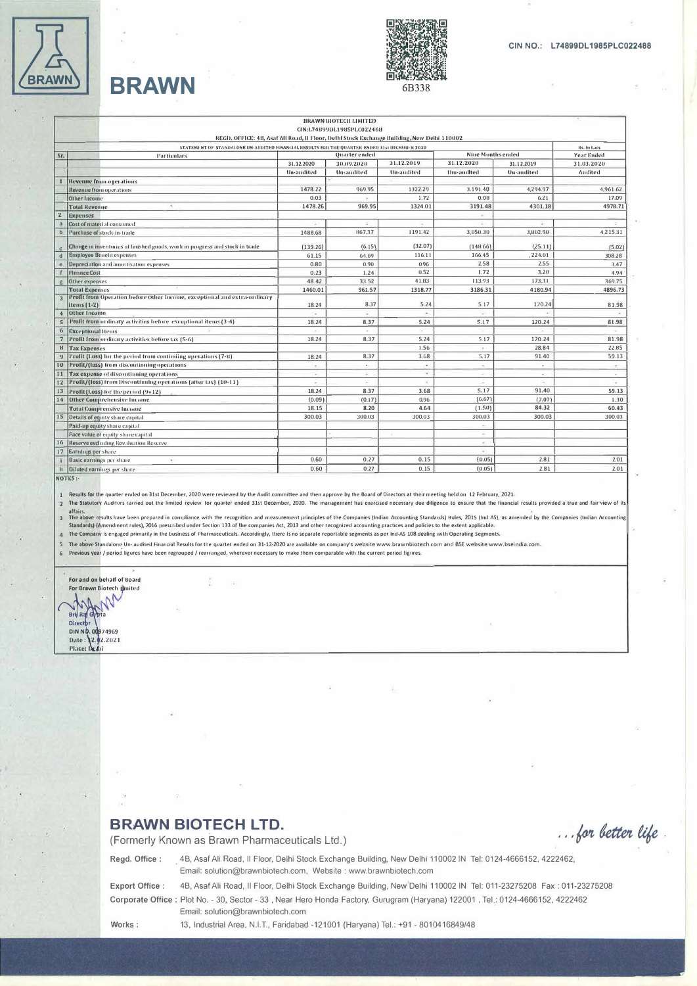

# **BRAWN**



|                      |                                                                                               |               | BRAWN BIOTECH LIMITED     |                   |                          |                          |             |
|----------------------|-----------------------------------------------------------------------------------------------|---------------|---------------------------|-------------------|--------------------------|--------------------------|-------------|
|                      |                                                                                               |               | CIN:L74899DL1985PLC022468 |                   |                          |                          |             |
|                      | REGD, OFFICE: 4B, Asaf All Road, II Floor, Delhi Stock Exchange Building, New Delhi 110002    |               |                           |                   |                          |                          |             |
|                      | STATEMENT OF STANDALONE UN-AUDITED FINANCIAL RESULTS FOR THE QUARTER ENDED 31st UECEMBER 2020 |               |                           |                   | <b>Nine Months ended</b> |                          | Rs. In Lacs |
| Sr.                  | Particulars                                                                                   | Quarter ended |                           |                   | 31.12.2020               |                          | Year Ended  |
|                      |                                                                                               | 31.12.2020    | 30.09.2020                | 31,12.2019        |                          | 31.12.2019               | 31.03.2020  |
|                      |                                                                                               | Un-audited    | <b>Un-audited</b>         | <b>Un-audited</b> | Um-andlted               | <b>Un-audited</b>        | Audited     |
|                      | Revenue from operations                                                                       |               |                           |                   |                          |                          |             |
|                      | <b>Revenue from operations</b>                                                                | 1478.22       | 969.95                    | 1322.29           | 3.191.40                 | 4,294.97                 | 4.961.62    |
|                      | <b>Other Income</b>                                                                           | 0.03          |                           | 1.72              | 0.08                     | 6.21                     | 17.09       |
|                      | <b>Total Revenue</b>                                                                          | 1478.26       | 969.95                    | 1324.01           | 3191.48                  | 4301.18                  | 4978.71     |
| $\mathbf{z}$         | <b>Expenses</b>                                                                               |               |                           |                   |                          |                          |             |
| a                    | Cost of material consumed                                                                     | $\leq$        |                           | ÷                 |                          | ÷                        |             |
| $\mathbf b$          | Purchase of stock-in-trade                                                                    | 1488.68       | 867.37                    | 1191.42           | 3,050.30                 | 3,802.90                 | 4.215.31    |
|                      | Change in inventories of finished goods, work in progress and stock in trade                  | (139.26)      | (6.15)                    | (32.07)           | (148.66)                 | (25.11)                  | (5.02)      |
| d                    | <b>Employee Benefit expenses</b>                                                              | 61.15         | 64.69                     | 116.11            | 166.45                   | .224.01                  | 308.28      |
| e                    | Depreciation and amortisation expenses                                                        | 0.80          | 0.90                      | 0.96              | 2.58                     | 2.55                     | 3.47        |
|                      | <b>Finance Cost</b>                                                                           | 0.23          | 1.24                      | 0.52              | 1.72                     | 3.28                     | 4.94        |
| $\mathbf{g}$         | Other expenses                                                                                | 48.42         | 33.52                     | 41.83             | 113.93                   | 173.31                   | 369.75      |
|                      | <b>Total Expenses</b>                                                                         | 1460.01       | 961.57                    | 1318.77           | 3186.31                  | 4180.94                  | 4896.73     |
|                      | Profit from Operation before Other Income, exceptional and extra-ordinary<br>items (1-2)      | 18.24         | 8.37                      | 5.24              | 5.17                     | 120.24                   | 81.98       |
| $\ddot{\phantom{1}}$ | <b>Other Income</b>                                                                           |               |                           |                   |                          |                          |             |
| $\mathsf{s}$         | Profit from ordinary activities before exceptional items (3-4)                                | 18.24         | 8.37                      | 5.24              | 5.17                     | 120.24                   | 81.98       |
| $\sigma$             | <b>Excentional Items</b>                                                                      | $\sim$        |                           |                   |                          |                          |             |
|                      | Profit from ordinary activities before tax (5-6)                                              | 18.24         | 8.37                      | 5.24              | 5.17                     | 120.24                   | 81.98       |
| $\mathbf{B}$         | <b>Tax Expenses</b>                                                                           |               |                           | 1.56              | $\sim$                   | 28.84                    | 22.85       |
|                      | Profit (Loss) for the period from continuing uperations (7-8)                                 | 18.24         | 8.37                      | 3.68              | 5.17                     | 91.40                    | 59.13       |
| 10                   | Profit/(loss) from discontinuing operations                                                   | $\sim$        | ۰.                        | $\sim$            | $\sim$                   | ÷                        | $\sim$      |
| 11                   | Tax expense of discontinuing operations                                                       | $\sigma$ .    | ×.                        | 각                 | $\sim$                   | $\overline{\phantom{a}}$ | $\sim$      |
| 12                   | Profit/(loss) from Discontinuing operations (after tax) (10-11)                               | $\sim$        | ×                         | n.                | <b>ALC</b>               | ×.                       | i a         |
| 13                   | Profit (Loss) for the period (9+12)                                                           | 18.24         | 8.37                      | 3.68              | 5.17                     | 91.40                    | 59.13       |
|                      | 14 Other Comprehensive Income                                                                 | (0.09)        | (0.17)                    | 0.96              | (6.67)                   | (7.07)                   | 1.30        |
|                      | <b>Total Comprensive Income</b>                                                               | 18.15         | 8.20                      | 4.64              | (1.50)                   | 84.32                    | 60.43       |
|                      | 15 Details of equity share capital                                                            | 300.03        | 300.03                    | 300.03            | 300.03                   | 300.03                   | 300.03      |
|                      | Paid-up equity share capital                                                                  |               |                           |                   | $\sim$                   |                          |             |
|                      | Face value of equity share capital                                                            |               |                           |                   | $\sim$                   |                          |             |
|                      | 16 Reserve excluding Revaluation Reserve                                                      |               |                           |                   | $\alpha$ :               |                          |             |
| 17                   | <b>Earnings per share</b>                                                                     |               |                           |                   | $\sim$                   |                          |             |
|                      | Basic earnings per share<br>$\mathcal{F}$ :                                                   | 0.60          | 0.27                      | 0.15              | (0.05)                   | 2.81                     | 2.01        |
|                      | Diluted earnings per share                                                                    | 0.60          | 0.27                      | 0.15              | (0.05)                   | 2.81                     | 2.01        |
| li                   |                                                                                               |               |                           |                   |                          |                          |             |

NOTES:

Results for the quarter ended on 31st December, 2020 were reviewed by the Audit committee and then approve by the Board of Directors at their meeting held on 12 February, 2021.  $\mathbf{1}$ 

The Statutory Auditors carried out the limited review for quarter ended 31st December, 2020. The management has exercised necessary due diligence to ensure that the linancial results provided a true and fair view of i  $\overline{2}$ 

affairs.<br>The above results have been prepared in compliance with the recognition and measurement principles of the Companies (Indian Accounting Standards) Rules, 2015 (Ind AS), as aniended by the Companies (Indian Account  $\overline{3}$ Standards) [Amendment rules], 2016 prescribed under Section 133 of the companies Act, 2013 and other recognized accounting practices and policies to the extent applicable.

 $\overline{a}$ The Company is engaged primarily in the business of Pharmaceuticals. Accordingly, there is no separate reportable segments as per Ind-AS 108 dealing with Operating Segments.

5 The above Standalone Un- audited Financial Results for the quarter ended on 31-12-2020 are available on company's website www.brawnbiotech.com and BSE website www.bseindia.com

Previous year / period ligures have been regrouped / rearranged, wherever necessary to make them comparable with the current period figures.  $\mathbf 6$ 



**BRAWN BIOTECH LTD.** 

... for better life.

(Formerly Known as Brawn Pharmaceuticals Ltd.)

Email: solution@brawnbiotech.com

Regd. Office : 4B, Asaf Ali Road, Il Floor, Delhi Stock Exchange Building, New Delhi 110002 IN Tel: 0124-4666152, 4222462, Email: solution@brawnbiotech.com, Website : www.brawnbiotech.com

Export Office :

4B, Asaf Ali Road, Il Floor, Delhi Stock Exchange Building, New Delhi 110002 IN Tel: 011-23275208 Fax: 011-23275208 Corporate Office : Plot No. - 30, Sector - 33, Near Hero Honda Factory, Gurugram (Haryana) 122001, Tel.: 0124-4666152, 4222462

Works:

13, Industrial Area, N.I.T., Faridabad -121001 (Haryana) Tel.: +91 - 8010416849/48